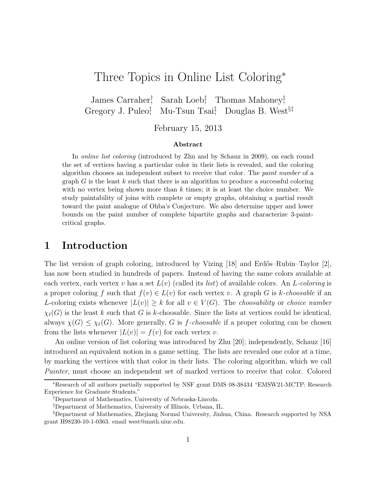# Three Topics in Online List Coloring<sup>∗</sup>

James Carraher† , Sarah Loeb‡ , Thomas Mahoney‡ , Gregory J. Puleo‡ , Mu-Tsun Tsai‡ , Douglas B. West§‡

February 15, 2013

#### Abstract

In online list coloring (introduced by Zhu and by Schauz in 2009), on each round the set of vertices having a particular color in their lists is revealed, and the coloring algorithm chooses an independent subset to receive that color. The paint number of a graph  $G$  is the least  $k$  such that there is an algorithm to produce a successful coloring with no vertex being shown more than  $k$  times; it is at least the choice number. We study paintability of joins with complete or empty graphs, obtaining a partial result toward the paint analogue of Ohba's Conjecture. We also determine upper and lower bounds on the paint number of complete bipartite graphs and characterize 3-paintcritical graphs.

# 1 Introduction

The list version of graph coloring, introduced by Vizing [18] and Erdős–Rubin–Taylor [2], has now been studied in hundreds of papers. Instead of having the same colors available at each vertex, each vertex v has a set  $L(v)$  (called its *list*) of available colors. An L-coloring is a proper coloring f such that  $f(v) \in L(v)$  for each vertex v. A graph G is k-choosable if an L-coloring exists whenever  $|L(v)| \geq k$  for all  $v \in V(G)$ . The *choosability* or *choice number*  $\chi_{\ell}(G)$  is the least k such that G is k-choosable. Since the lists at vertices could be identical, always  $\chi(G) \leq \chi_{\ell}(G)$ . More generally, G is f-choosable if a proper coloring can be chosen from the lists whenever  $|L(v)| = f(v)$  for each vertex v.

An online version of list coloring was introduced by Zhu [20]; independently, Schauz [16] introduced an equivalent notion in a game setting. The lists are revealed one color at a time, by marking the vertices with that color in their lists. The coloring algorithm, which we call Painter, must choose an independent set of marked vertices to receive that color. Colored

<sup>∗</sup>Research of all authors partially supported by NSF grant DMS 08-38434 "EMSW21-MCTP: Research Experience for Graduate Students."

<sup>†</sup>Department of Mathematics, University of Nebraska-Lincoln.

<sup>‡</sup>Department of Mathematics, University of Illinois, Urbana, IL.

<sup>§</sup>Department of Mathematics, Zhejiang Normal University, Jinhua, China. Research supported by NSA grant H98230-10-1-0363. email west@math.uiuc.edu.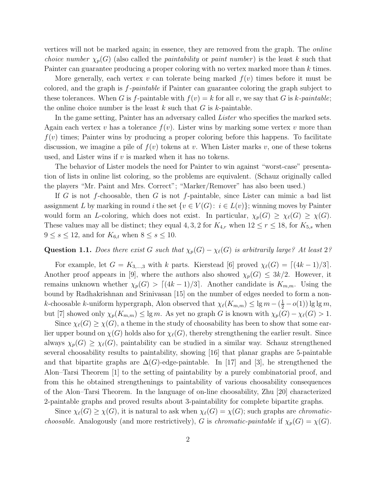vertices will not be marked again; in essence, they are removed from the graph. The online *choice number*  $\chi_p(G)$  (also called the *paintability* or *paint number*) is the least k such that Painter can guarantee producing a proper coloring with no vertex marked more than k times.

More generally, each vertex v can tolerate being marked  $f(v)$  times before it must be colored, and the graph is f-paintable if Painter can guarantee coloring the graph subject to these tolerances. When G is f-paintable with  $f(v) = k$  for all v, we say that G is k-paintable; the online choice number is the least  $k$  such that  $G$  is  $k$ -paintable.

In the game setting, Painter has an adversary called *Lister* who specifies the marked sets. Again each vertex v has a tolerance  $f(v)$ . Lister wins by marking some vertex v more than  $f(v)$  times; Painter wins by producing a proper coloring before this happens. To facilitate discussion, we imagine a pile of  $f(v)$  tokens at v. When Lister marks v, one of these tokens used, and Lister wins if  $v$  is marked when it has no tokens.

The behavior of Lister models the need for Painter to win against "worst-case" presentation of lists in online list coloring, so the problems are equivalent. (Schauz originally called the players "Mr. Paint and Mrs. Correct"; "Marker/Remover" has also been used.)

If G is not f-choosable, then G is not f-paintable, since Lister can mimic a bad list assignment L by marking in round i the set  $\{v \in V(G): i \in L(v)\}$ ; winning moves by Painter would form an L-coloring, which does not exist. In particular,  $\chi_p(G) \geq \chi_{\ell}(G) \geq \chi(G)$ . These values may all be distinct; they equal 4, 3, 2 for  $K_{4,r}$  when  $12 \le r \le 18$ , for  $K_{5,s}$  when  $9 \leq s \leq 12$ , and for  $K_{6,t}$  when  $8 \leq s \leq 10$ .

### Question 1.1. Does there exist G such that  $\chi_p(G) - \chi_{\ell}(G)$  is arbitrarily large? At least 2?

For example, let  $G = K_{3,\dots,3}$  with k parts. Kierstead [6] proved  $\chi_{\ell}(G) = \lceil (4k-1)/3 \rceil$ . Another proof appears in [9], where the authors also showed  $\chi_p(G) \leq 3k/2$ . However, it remains unknown whether  $\chi_p(G) > [(4k-1)/3]$ . Another candidate is  $K_{m,m}$ . Using the bound by Radhakrishnan and Srinivasan [15] on the number of edges needed to form a nonk-choosable k-uniform hypergraph, Alon observed that  $\chi_{\ell}(K_{m,m}) \leq \lg m - (\frac{1}{2} - o(1)) \lg \lg m$ , but [7] showed only  $\chi_p(K_{m,m}) \le \lg m$ . As yet no graph G is known with  $\chi_p(G) - \chi_\ell(G) > 1$ .

Since  $\chi_{\ell}(G) \geq \chi(G)$ , a theme in the study of choosability has been to show that some earlier upper bound on  $\chi(G)$  holds also for  $\chi_{\ell}(G)$ , thereby strengthening the earlier result. Since always  $\chi_p(G) \geq \chi_{\ell}(G)$ , paintability can be studied in a similar way. Schauz strengthened several choosability results to paintability, showing [16] that planar graphs are 5-paintable and that bipartite graphs are  $\Delta(G)$ -edge-paintable. In [17] and [3], he strengthened the Alon–Tarsi Theorem [1] to the setting of paintability by a purely combinatorial proof, and from this he obtained strengthenings to paintability of various choosability consequences of the Alon–Tarsi Theorem. In the language of on-line choosability, Zhu [20] characterized 2-paintable graphs and proved results about 3-paintability for complete bipartite graphs.

Since  $\chi_{\ell}(G) \geq \chi(G)$ , it is natural to ask when  $\chi_{\ell}(G) = \chi(G)$ ; such graphs are *chromaticchoosable.* Analogously (and more restrictively), G is *chromatic-paintable* if  $\chi_p(G) = \chi(G)$ .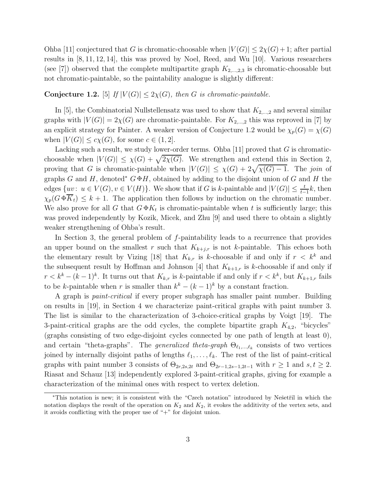Ohba [11] conjectured that G is chromatic-choosable when  $|V(G)| \leq 2\chi(G)+1$ ; after partial results in [8, 11, 12, 14], this was proved by Noel, Reed, and Wu [10]. Various researchers (see [7]) observed that the complete multipartite graph  $K_{2,\dots,2,3}$  is chromatic-choosable but not chromatic-paintable, so the paintability analogue is slightly different:

### **Conjecture 1.2.** [5] If  $|V(G)| \leq 2\chi(G)$ , then G is chromatic-paintable.

In [5], the Combinatorial Nullstellensatz was used to show that  $K_{2,\dots,2}$  and several similar graphs with  $|V(G)| = 2\chi(G)$  are chromatic-paintable. For  $K_{2,\dots,2}$  this was reproved in [7] by an explicit strategy for Painter. A weaker version of Conjecture 1.2 would be  $\chi_p(G) = \chi(G)$ when  $|V(G)| \leq c\chi(G)$ , for some  $c \in (1, 2]$ .

Lacking such a result, we study lower-order terms. Ohba [11] proved that  $G$  is chromaticchoosable when  $|V(G)| \le \chi(G) + \sqrt{2\chi(G)}$ . We strengthen and extend this in Section 2, proving that G is chromatic-paintable when  $|V(G)| \leq \chi(G) + 2\sqrt{\chi(G) - 1}$ . The join of graphs G and H, denoted<sup>∗</sup>  $G \oplus H$ , obtained by adding to the disjoint union of G and H the edges  $\{uv: u \in V(G), v \in V(H)\}$ . We show that if G is k-paintable and  $|V(G)| \leq \frac{t}{t-1}k$ , then  $\chi_p(G \oplus \overline{K}_t) \leq k+1$ . The application then follows by induction on the chromatic number. We also prove for all G that  $G \oplus K_t$  is chromatic-paintable when t is sufficiently large; this was proved independently by Kozik, Micek, and Zhu [9] and used there to obtain a slightly weaker strengthening of Ohba's result.

In Section 3, the general problem of f-paintability leads to a recurrence that provides an upper bound on the smallest r such that  $K_{k+j,r}$  is not k-paintable. This echoes both the elementary result by Vizing [18] that  $K_{k,r}$  is k-choosable if and only if  $r \leq k^k$  and the subsequent result by Hoffman and Johnson [4] that  $K_{k+1,r}$  is k-choosable if and only if  $r < k^k - (k-1)^k$ . It turns out that  $K_{k,r}$  is k-paintable if and only if  $r < k^k$ , but  $K_{k+1,r}$  fails to be k-paintable when r is smaller than  $k^k - (k-1)^k$  by a constant fraction.

A graph is paint-critical if every proper subgraph has smaller paint number. Building on results in [19], in Section 4 we characterize paint-critical graphs with paint number 3. The list is similar to the characterization of 3-choice-critical graphs by Voigt [19]. The 3-paint-critical graphs are the odd cycles, the complete bipartite graph  $K_{4,2}$ , "bicycles" (graphs consisting of two edge-disjoint cycles connected by one path of length at least 0), and certain "theta-graphs". The *generalized theta-graph*  $\Theta_{\ell_1,\ldots,\ell_k}$  consists of two vertices joined by internally disjoint paths of lengths  $\ell_1, \ldots, \ell_k$ . The rest of the list of paint-critical graphs with paint number 3 consists of  $\Theta_{2r,2s,2t}$  and  $\Theta_{2r-1,2s-1,2t-1}$  with  $r \ge 1$  and  $s,t \ge 2$ . Riasat and Schauz [13] independently explored 3-paint-critical graphs, giving for example a characterization of the minimal ones with respect to vertex deletion.

<sup>\*</sup>This notation is new; it is consistent with the "Czech notation" introduced by Nešetřil in which the notation displays the result of the operation on  $K_2$  and  $K_2$ , it evokes the additivity of the vertex sets, and it avoids conflicting with the proper use of "+" for disjoint union.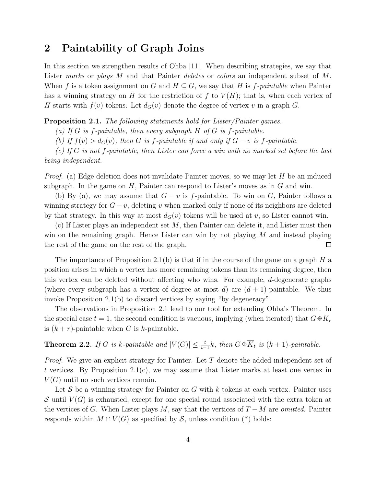# 2 Paintability of Graph Joins

In this section we strengthen results of Ohba [11]. When describing strategies, we say that Lister marks or plays M and that Painter deletes or colors an independent subset of M. When f is a token assignment on G and  $H \subseteq G$ , we say that H is f-paintable when Painter has a winning strategy on H for the restriction of f to  $V(H)$ ; that is, when each vertex of H starts with  $f(v)$  tokens. Let  $d_G(v)$  denote the degree of vertex v in a graph G.

Proposition 2.1. The following statements hold for Lister/Painter games.

(a) If G is f-paintable, then every subgraph  $H$  of G is f-paintable.

(b) If  $f(v) > d_G(v)$ , then G is f-paintable if and only if  $G - v$  is f-paintable.

(c) If G is not f-paintable, then Lister can force a win with no marked set before the last being independent.

*Proof.* (a) Edge deletion does not invalidate Painter moves, so we may let  $H$  be an induced subgraph. In the game on  $H$ , Painter can respond to Lister's moves as in  $G$  and win.

(b) By (a), we may assume that  $G - v$  is f-paintable. To win on G, Painter follows a winning strategy for  $G - v$ , deleting v when marked only if none of its neighbors are deleted by that strategy. In this way at most  $d_G(v)$  tokens will be used at v, so Lister cannot win.

 $(c)$  If Lister plays an independent set M, then Painter can delete it, and Lister must then win on the remaining graph. Hence Lister can win by not playing  $M$  and instead playing the rest of the game on the rest of the graph.  $\Box$ 

The importance of Proposition 2.1(b) is that if in the course of the game on a graph  $H$  a position arises in which a vertex has more remaining tokens than its remaining degree, then this vertex can be deleted without affecting who wins. For example, d-degenerate graphs (where every subgraph has a vertex of degree at most d) are  $(d+1)$ -paintable. We thus invoke Proposition 2.1(b) to discard vertices by saying "by degeneracy".

The observations in Proposition 2.1 lead to our tool for extending Ohba's Theorem. In the special case  $t = 1$ , the second condition is vacuous, implying (when iterated) that  $G \oplus K_r$ is  $(k + r)$ -paintable when G is k-paintable.

**Theorem 2.2.** If G is k-paintable and  $|V(G)| \leq \frac{t}{t-1}k$ , then  $G \oplus \overline{K}_t$  is  $(k+1)$ -paintable.

*Proof.* We give an explicit strategy for Painter. Let  $T$  denote the added independent set of t vertices. By Proposition 2.1(c), we may assume that Lister marks at least one vertex in  $V(G)$  until no such vertices remain.

Let S be a winning strategy for Painter on G with k tokens at each vertex. Painter uses S until  $V(G)$  is exhausted, except for one special round associated with the extra token at the vertices of G. When Lister plays M, say that the vertices of  $T - M$  are *omitted*. Painter responds within  $M \cap V(G)$  as specified by S, unless condition (\*) holds: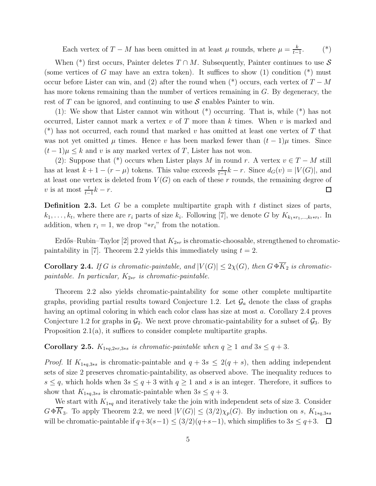Each vertex of  $T - M$  has been omitted in at least  $\mu$  rounds, where  $\mu = \frac{k}{t-1}$  $t-1$  $(*)$ 

When (\*) first occurs, Painter deletes  $T \cap M$ . Subsequently, Painter continues to use  $S$ (some vertices of G may have an extra token). It suffices to show  $(1)$  condition  $(*)$  must occur before Lister can win, and (2) after the round when (\*) occurs, each vertex of  $T - M$ has more tokens remaining than the number of vertices remaining in G. By degeneracy, the rest of T can be ignored, and continuing to use  $S$  enables Painter to win.

(1): We show that Lister cannot win without (\*) occurring. That is, while (\*) has not occurred, Lister cannot mark a vertex  $v$  of  $T$  more than  $k$  times. When  $v$  is marked and (\*) has not occurred, each round that marked v has omitted at least one vertex of T that was not yet omitted  $\mu$  times. Hence v has been marked fewer than  $(t-1)\mu$  times. Since  $(t-1)\mu \leq k$  and v is any marked vertex of T, Lister has not won.

(2): Suppose that (\*) occurs when Lister plays M in round r. A vertex  $v \in T - M$  still has at least  $k + 1 - (r - \mu)$  tokens. This value exceeds  $\frac{t}{t-1}k - r$ . Since  $d_G(v) = |V(G)|$ , and at least one vertex is deleted from  $V(G)$  on each of these r rounds, the remaining degree of v is at most  $\frac{t}{t-1}k - r$ .  $\Box$ 

**Definition 2.3.** Let  $G$  be a complete multipartite graph with  $t$  distinct sizes of parts,  $k_1, \ldots, k_t$ , where there are  $r_i$  parts of size  $k_i$ . Following [7], we denote G by  $K_{k_1 * r_1, \ldots, k_t * r_t}$ . In addition, when  $r_i = 1$ , we drop "\* $r_i$ " from the notation.

Erdős–Rubin–Taylor [2] proved that  $K_{2*r}$  is chromatic-choosable, strengthened to chromaticpaintability in [7]. Theorem 2.2 yields this immediately using  $t = 2$ .

**Corollary 2.4.** If G is chromatic-paintable, and  $|V(G)| \leq 2\chi(G)$ , then  $G \oplus \overline{K}_2$  is chromaticpaintable. In particular,  $K_{2*r}$  is chromatic-paintable.

Theorem 2.2 also yields chromatic-paintability for some other complete multipartite graphs, providing partial results toward Conjecture 1.2. Let  $\mathcal{G}_a$  denote the class of graphs having an optimal coloring in which each color class has size at most a. Corollary 2.4 proves Conjecture 1.2 for graphs in  $\mathcal{G}_2$ . We next prove chromatic-paintability for a subset of  $\mathcal{G}_3$ . By Proposition 2.1(a), it suffices to consider complete multipartite graphs.

Corollary 2.5.  $K_{1*q,2*r,3*s}$  is chromatic-paintable when  $q \geq 1$  and  $3s \leq q+3$ .

*Proof.* If  $K_{1*q,3*s}$  is chromatic-paintable and  $q + 3s \leq 2(q + s)$ , then adding independent sets of size 2 preserves chromatic-paintability, as observed above. The inequality reduces to  $s \leq q$ , which holds when  $3s \leq q+3$  with  $q \geq 1$  and s is an integer. Therefore, it suffices to show that  $K_{1*q,3*s}$  is chromatic-paintable when  $3s \leq q+3$ .

We start with  $K_{1*q}$  and iteratively take the join with independent sets of size 3. Consider  $G \oplus \overline{K}_3$ . To apply Theorem 2.2, we need  $|V(G)| \leq (3/2)\chi_p(G)$ . By induction on s,  $K_{1 \ast q,3 \ast s}$ will be chromatic-paintable if  $q+3(s-1) \leq (3/2)(q+s-1)$ , which simplifies to  $3s \leq q+3$ . □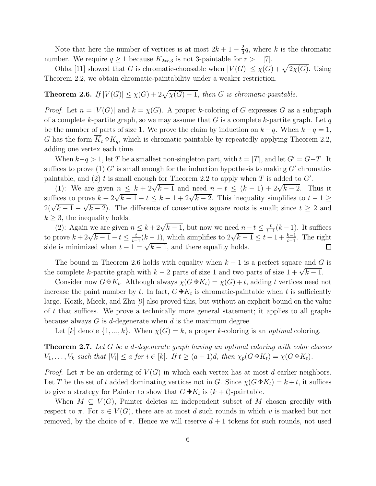Note that here the number of vertices is at most  $2k + 1 - \frac{2}{3}$  $\frac{2}{3}q$ , where k is the chromatic number. We require  $q \ge 1$  because  $K_{2*r,3}$  is not 3-paintable for  $r > 1$  [7].

Ohba [11] showed that G is chromatic-choosable when  $|V(G)| \leq \chi(G) + \sqrt{2\chi(G)}$ . Using Theorem 2.2, we obtain chromatic-paintability under a weaker restriction.

# **Theorem 2.6.** If  $|V(G)| \leq \chi(G) + 2\sqrt{\chi(G) - 1}$ , then G is chromatic-paintable.

*Proof.* Let  $n = |V(G)|$  and  $k = \chi(G)$ . A proper k-coloring of G expresses G as a subgraph of a complete k-partite graph, so we may assume that G is a complete k-partite graph. Let q be the number of parts of size 1. We prove the claim by induction on  $k - q$ . When  $k - q = 1$ , G has the form  $\overline{K}_t \oplus K_q$ , which is chromatic-paintable by repeatedly applying Theorem 2.2, adding one vertex each time.

When  $k-q > 1$ , let T be a smallest non-singleton part, with  $t = |T|$ , and let  $G' = G-T$ . It suffices to prove (1)  $G'$  is small enough for the induction hypothesis to making  $G'$  chromaticpaintable, and (2) t is small enough for Theorem 2.2 to apply when T is added to  $G'$ .

(1): We are given  $n \leq k + 2\sqrt{k-1}$  and need  $n - t \leq (k - 1) + 2\sqrt{k-2}$ . Thus it suffices to prove  $k + 2\sqrt{k-1} - t \leq k - 1 + 2\sqrt{k-2}$ . This inequality simplifies to  $t - 1 \geq$  $2(\sqrt{k-1} - \sqrt{k-2})$ . The difference of consecutive square roots is small; since  $t \geq 2$  and  $k \geq 3$ , the inequality holds.

(2): Again we are given  $n \leq k + 2\sqrt{k-1}$ , but now we need  $n-t \leq \frac{t}{t-1}$  $\frac{t}{t-1}(k-1)$ . It suffices to prove  $k + 2\sqrt{k-1} - t \leq \frac{t}{t-1}$  $\frac{t}{t-1}(k-1)$ , which simplifies to  $2\sqrt{k-1} \leq t-1+\frac{k-1}{t-1}$ . The right side is minimized when  $t - 1 = \sqrt{k-1}$ , and there equality holds.  $\Box$ 

The bound in Theorem 2.6 holds with equality when  $k-1$  is a perfect square and G is the complete k-partite graph with  $k-2$  parts of size 1 and two parts of size  $1 + \sqrt{k-1}$ .

Consider now  $G \oplus K_t$ . Although always  $\chi(G \oplus K_t) = \chi(G) + t$ , adding t vertices need not increase the paint number by t. In fact,  $G \oplus K_t$  is chromatic-paintable when t is sufficiently large. Kozik, Micek, and Zhu [9] also proved this, but without an explicit bound on the value of  $t$  that suffices. We prove a technically more general statement; it applies to all graphs because always  $G$  is d-degenerate when  $d$  is the maximum degree.

Let [k] denote  $\{1, ..., k\}$ . When  $\chi(G) = k$ , a proper k-coloring is an *optimal* coloring.

**Theorem 2.7.** Let G be a d-degenerate graph having an optimal coloring with color classes  $V_1, \ldots, V_k$  such that  $|V_i| \le a$  for  $i \in [k]$ . If  $t \ge (a+1)d$ , then  $\chi_p(G \oplus K_t) = \chi(G \oplus K_t)$ .

*Proof.* Let  $\pi$  be an ordering of  $V(G)$  in which each vertex has at most d earlier neighbors. Let T be the set of t added dominating vertices not in G. Since  $\chi(G \oplus K_t) = k + t$ , it suffices to give a strategy for Painter to show that  $G \oplus K_t$  is  $(k + t)$ -paintable.

When  $M \subseteq V(G)$ , Painter deletes an independent subset of M chosen greedily with respect to  $\pi$ . For  $v \in V(G)$ , there are at most d such rounds in which v is marked but not removed, by the choice of  $\pi$ . Hence we will reserve  $d+1$  tokens for such rounds, not used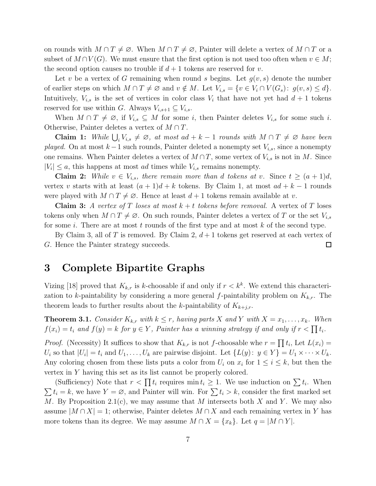on rounds with  $M \cap T \neq \emptyset$ . When  $M \cap T \neq \emptyset$ , Painter will delete a vertex of  $M \cap T$  or a subset of  $M \cap V(G)$ . We must ensure that the first option is not used too often when  $v \in M$ ; the second option causes no trouble if  $d+1$  tokens are reserved for v.

Let v be a vertex of G remaining when round s begins. Let  $g(v, s)$  denote the number of earlier steps on which  $M \cap T \neq \emptyset$  and  $v \notin M$ . Let  $V_{i,s} = \{v \in V_i \cap V(G_s): g(v,s) \leq d\}.$ Intuitively,  $V_{i,s}$  is the set of vertices in color class  $V_i$  that have not yet had  $d+1$  tokens reserved for use within G. Always  $V_{i,s+1} \subseteq V_{i,s}$ .

When  $M \cap T \neq \emptyset$ , if  $V_{i,s} \subseteq M$  for some i, then Painter deletes  $V_{i,s}$  for some such i. Otherwise, Painter deletes a vertex of  $M \cap T$ .

Claim 1: While  $\bigcup_i V_{i,s} \neq \emptyset$ , at most ad + k − 1 rounds with  $M \cap T \neq \emptyset$  have been played. On at most  $k-1$  such rounds, Painter deleted a nonempty set  $V_{i,s}$ , since a nonempty one remains. When Painter deletes a vertex of  $M \cap T$ , some vertex of  $V_{i,s}$  is not in M. Since  $|V_i| \leq a$ , this happens at most *ad* times while  $V_{i,s}$  remains nonempty.

**Claim 2:** While  $v \in V_{i,s}$ , there remain more than d tokens at v. Since  $t \geq (a+1)d$ , vertex v starts with at least  $(a + 1)d + k$  tokens. By Claim 1, at most  $ad + k - 1$  rounds were played with  $M \cap T \neq \emptyset$ . Hence at least  $d+1$  tokens remain available at v.

**Claim 3:** A vertex of T loses at most  $k + t$  tokens before removal. A vertex of T loses tokens only when  $M \cap T \neq \emptyset$ . On such rounds, Painter deletes a vertex of T or the set  $V_{i,s}$ for some i. There are at most t rounds of the first type and at most  $k$  of the second type.

By Claim 3, all of T is removed. By Claim 2,  $d+1$  tokens get reserved at each vertex of G. Hence the Painter strategy succeeds.  $\Box$ 

# 3 Complete Bipartite Graphs

Vizing [18] proved that  $K_{k,r}$  is k-choosable if and only if  $r < k^k$ . We extend this characterization to k-paintability by considering a more general f-paintability problem on  $K_{k,r}$ . The theorem leads to further results about the k-paintability of  $K_{k+j,r}$ .

**Theorem 3.1.** Consider  $K_{k,r}$  with  $k \leq r$ , having parts X and Y with  $X = x_1, \ldots, x_k$ . When  $f(x_i) = t_i$  and  $f(y) = k$  for  $y \in Y$ , Painter has a winning strategy if and only if  $r < \prod t_i$ .

*Proof.* (Necessity) It suffices to show that  $K_{k,r}$  is not f-choosable whe  $r = \prod t_i$ , Let  $L(x_i) =$  $U_i$  so that  $|U_i| = t_i$  and  $U_1, \ldots, U_k$  are pairwise disjoint. Let  $\{L(y): y \in Y\} = U_1 \times \cdots \times U_k$ . Any coloring chosen from these lists puts a color from  $U_i$  on  $x_i$  for  $1 \le i \le k$ , but then the vertex in Y having this set as its list cannot be properly colored.

(Sufficiency) Note that  $r < \prod t_i$  requires  $\min t_i \geq 1$ . We use induction on  $\sum t_i$ . When  $\sum t_i = k$ , we have  $Y = \emptyset$ , and Painter will win. For  $\sum t_i > k$ , consider the first marked set M. By Proposition 2.1(c), we may assume that M intersects both X and Y. We may also assume  $|M \cap X| = 1$ ; otherwise, Painter deletes  $M \cap X$  and each remaining vertex in Y has more tokens than its degree. We may assume  $M \cap X = \{x_k\}$ . Let  $q = |M \cap Y|$ .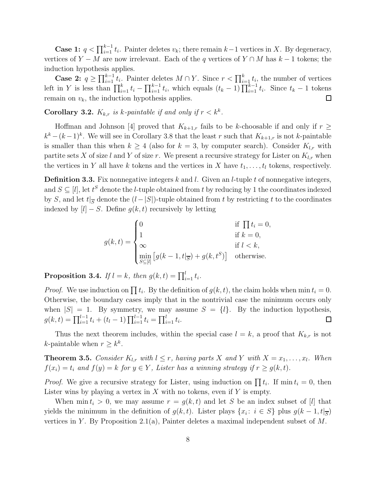**Case 1:**  $q < \prod_{i=1}^{k-1} t_i$ . Painter deletes  $v_k$ ; there remain  $k-1$  vertices in X. By degeneracy, vertices of  $Y - M$  are now irrelevant. Each of the q vertices of  $Y \cap M$  has  $k - 1$  tokens; the induction hypothesis applies.

**Case 2:**  $q \geq \prod_{i=1}^{k-1} t_i$ . Painter deletes  $M \cap Y$ . Since  $r < \prod_{i=1}^{k} t_i$ , the number of vertices left in Y is less than  $\prod_{i=1}^k t_i - \prod_{i=1}^{k-1} t_i$ , which equals  $(t_k - 1) \prod_{i=1}^{k-1} t_i$ . Since  $t_k - 1$  tokens remain on  $v_k$ , the induction hypothesis applies.  $\Box$ 

**Corollary 3.2.**  $K_{k,r}$  is k-paintable if and only if  $r < k^k$ .

Hoffman and Johnson [4] proved that  $K_{k+1,r}$  fails to be k-choosable if and only if  $r \geq$  $k^k - (k-1)^k$ . We will see in Corollary 3.8 that the least r such that  $K_{k+1,r}$  is not k-paintable is smaller than this when  $k \geq 4$  (also for  $k = 3$ , by computer search). Consider  $K_{l,r}$  with partite sets X of size l and Y of size r. We present a recursive strategy for Lister on  $K_{l,r}$  when the vertices in Y all have k tokens and the vertices in X have  $t_1, \ldots, t_l$  tokens, respectively.

**Definition 3.3.** Fix nonnegative integers  $k$  and  $l$ . Given an  $l$ -tuple  $t$  of nonnegative integers, and  $S \subseteq [l]$ , let  $t^S$  denote the *l*-tuple obtained from  $t$  by reducing by 1 the coordinates indexed by S, and let  $t|_{\overline{S}}$  denote the  $(l-|S|)$ -tuple obtained from t by restricting t to the coordinates indexed by  $[l] - S$ . Define  $g(k, t)$  recursively by letting

$$
g(k,t) = \begin{cases} 0 & \text{if } \prod t_i = 0, \\ 1 & \text{if } k = 0, \\ \infty & \text{if } l < k, \\ \min_{S \subseteq [l]} \left[ g(k-1, t |_{\overline{S}}) + g(k, t^S) \right] & \text{otherwise.} \end{cases}
$$

**Proposition 3.4.** If  $l = k$ , then  $g(k, t) = \prod_{i=1}^{l} t_i$ .

*Proof.* We use induction on  $\prod t_i$ . By the definition of  $g(k, t)$ , the claim holds when min  $t_i = 0$ . Otherwise, the boundary cases imply that in the nontrivial case the minimum occurs only when  $|S| = 1$ . By symmetry, we may assume  $S = \{l\}$ . By the induction hypothesis,  $g(k, t) = \prod_{i=1}^{l-1} t_i + (t_l - 1) \prod_{i=1}^{l-1} t_i = \prod_{i=1}^{l} t_i.$  $\Box$ 

Thus the next theorem includes, within the special case  $l = k$ , a proof that  $K_{k,r}$  is not *k*-paintable when  $r \geq k^k$ .

**Theorem 3.5.** Consider  $K_{l,r}$  with  $l \leq r$ , having parts X and Y with  $X = x_1, \ldots, x_l$ . When  $f(x_i) = t_i$  and  $f(y) = k$  for  $y \in Y$ , Lister has a winning strategy if  $r \ge g(k, t)$ .

*Proof.* We give a recursive strategy for Lister, using induction on  $\prod t_i$ . If min  $t_i = 0$ , then Lister wins by playing a vertex in  $X$  with no tokens, even if  $Y$  is empty.

When min  $t_i > 0$ , we may assume  $r = g(k, t)$  and let S be an index subset of [l] that yields the minimum in the definition of  $g(k, t)$ . Lister plays  $\{x_i : i \in S\}$  plus  $g(k-1, t|_{\overline{S}})$ vertices in Y. By Proposition 2.1(a), Painter deletes a maximal independent subset of  $M$ .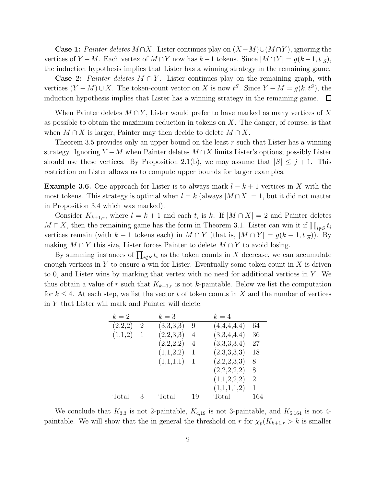**Case 1:** Painter deletes M ∩X. Lister continues play on  $(X - M) \cup (M \cap Y)$ , ignoring the vertices of  $Y - M$ . Each vertex of  $M \cap Y$  now has  $k - 1$  tokens. Since  $|M \cap Y| = g(k - 1, t|_{\overline{S}})$ , the induction hypothesis implies that Lister has a winning strategy in the remaining game.

**Case 2:** Painter deletes  $M \cap Y$ . Lister continues play on the remaining graph, with vertices  $(Y - M) \cup X$ . The token-count vector on X is now  $t^S$ . Since  $Y - M = g(k, t^S)$ , the induction hypothesis implies that Lister has a winning strategy in the remaining game.  $\Box$ 

When Painter deletes  $M \cap Y$ , Lister would prefer to have marked as many vertices of X as possible to obtain the maximum reduction in tokens on  $X$ . The danger, of course, is that when  $M \cap X$  is larger, Painter may then decide to delete  $M \cap X$ .

Theorem 3.5 provides only an upper bound on the least  $r$  such that Lister has a winning strategy. Ignoring  $Y - M$  when Painter deletes  $M \cap X$  limits Lister's options; possibly Lister should use these vertices. By Proposition 2.1(b), we may assume that  $|S| \leq j + 1$ . This restriction on Lister allows us to compute upper bounds for larger examples.

**Example 3.6.** One approach for Lister is to always mark  $l - k + 1$  vertices in X with the most tokens. This strategy is optimal when  $l = k$  (always  $|M \cap X| = 1$ , but it did not matter in Proposition 3.4 which was marked).

Consider  $K_{k+1,r}$ , where  $l = k+1$  and each  $t_i$  is k. If  $|M \cap X| = 2$  and Painter deletes  $M \cap X$ , then the remaining game has the form in Theorem 3.1. Lister can win it if  $\prod_{i \notin S} t_i$ vertices remain (with  $k-1$  tokens each) in  $M \cap Y$  (that is,  $|M \cap Y| = g(k-1,t|_{\overline{S}})$ ). By making  $M \cap Y$  this size, Lister forces Painter to delete  $M \cap Y$  to avoid losing.

By summing instances of  $\prod_{i \notin S} t_i$  as the token counts in X decrease, we can accumulate enough vertices in Y to ensure a win for Lister. Eventually some token count in X is driven to 0, and Lister wins by marking that vertex with no need for additional vertices in Y . We thus obtain a value of r such that  $K_{k+1,r}$  is not k-paintable. Below we list the computation for  $k \leq 4$ . At each step, we list the vector t of token counts in X and the number of vertices in Y that Lister will mark and Painter will delete.

| $k=2$   |                | $k=3$     |    | $k=4$       |     |
|---------|----------------|-----------|----|-------------|-----|
| (2,2,2) | $\overline{2}$ | (3,3,3,3) | 9  | (4,4,4,4,4) | 64  |
| (1,1,2) | 1              | (2,2,3,3) | 4  | (3,3,4,4,4) | 36  |
|         |                | (2,2,2,2) | 4  | (3,3,3,3,4) | 27  |
|         |                | (1,1,2,2) | 1  | (2,3,3,3,3) | 18  |
|         |                | (1,1,1,1) | 1  | (2,2,2,3,3) | 8   |
|         |                |           |    | (2,2,2,2,2) | 8   |
|         |                |           |    | (1,1,2,2,2) | 2   |
|         |                |           |    | (1,1,1,1,2) | 1   |
| Total   | 3              | Total     | 19 | Total       | 164 |

We conclude that  $K_{3,3}$  is not 2-paintable,  $K_{4,19}$  is not 3-paintable, and  $K_{5,164}$  is not 4paintable. We will show that the in general the threshold on r for  $\chi_p(K_{k+1,r} > k$  is smaller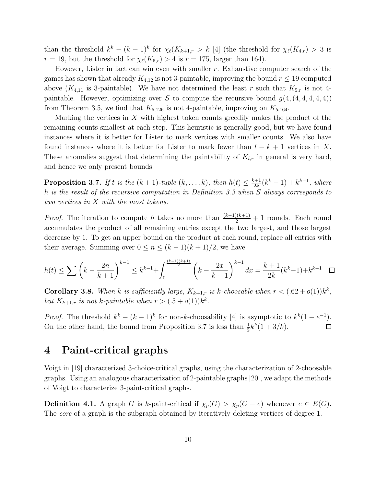than the threshold  $k^k - (k-1)^k$  for  $\chi_{\ell}(K_{k+1,r} > k$  [4] (the threshold for  $\chi_{\ell}(K_{4,r}) > 3$  is  $r = 19$ , but the threshold for  $\chi_{\ell}(K_{5,r}) > 4$  is  $r = 175$ , larger than 164).

However, Lister in fact can win even with smaller  $r$ . Exhaustive computer search of the games has shown that already  $K_{4,12}$  is not 3-paintable, improving the bound  $r \leq 19$  computed above  $(K_{4,11}$  is 3-paintable). We have not determined the least r such that  $K_{5,r}$  is not 4paintable. However, optimizing over S to compute the recursive bound  $g(4, (4,4,4,4,4))$ from Theorem 3.5, we find that  $K_{5,126}$  is not 4-paintable, improving on  $K_{5,164}$ .

Marking the vertices in X with highest token counts greedily makes the product of the remaining counts smallest at each step. This heuristic is generally good, but we have found instances where it is better for Lister to mark vertices with smaller counts. We also have found instances where it is better for Lister to mark fewer than  $l - k + 1$  vertices in X. These anomalies suggest that determining the paintability of  $K_{l,r}$  in general is very hard, and hence we only present bounds.

**Proposition 3.7.** If t is the  $(k + 1)$ -tuple  $(k, ..., k)$ , then  $h(t) \leq \frac{k+1}{2k}$  $\frac{k+1}{2k}(k^k-1)+k^{k-1}, \text{ where }$ h is the result of the recursive computation in Definition 3.3 when S always corresponds to two vertices in X with the most tokens.

*Proof.* The iteration to compute h takes no more than  $\frac{(k-1)(k+1)}{2} + 1$  rounds. Each round accumulates the product of all remaining entries except the two largest, and those largest decrease by 1. To get an upper bound on the product at each round, replace all entries with their average. Summing over  $0 \le n \le (k-1)(k+1)/2$ , we have

$$
h(t) \le \sum \left(k - \frac{2n}{k+1}\right)^{k-1} \le k^{k-1} + \int_0^{\frac{(k-1)(k+1)}{2}} \left(k - \frac{2x}{k+1}\right)^{k-1} dx = \frac{k+1}{2k}(k^k - 1) + k^{k-1} \quad \Box
$$

**Corollary 3.8.** When k is sufficiently large,  $K_{k+1,r}$  is k-choosable when  $r < (.62+o(1))k^k$ , but  $K_{k+1,r}$  is not k-paintable when  $r > (.5 + o(1))k^k$ .

*Proof.* The threshold  $k^k - (k-1)^k$  for non-k-choosability [4] is asymptotic to  $k^k(1-e^{-1})$ . On the other hand, the bound from Proposition 3.7 is less than  $\frac{1}{2}k^k(1+3/k)$ .  $\Box$ 

### 4 Paint-critical graphs

Voigt in [19] characterized 3-choice-critical graphs, using the characterization of 2-choosable graphs. Using an analogous characterization of 2-paintable graphs [20], we adapt the methods of Voigt to characterize 3-paint-critical graphs.

**Definition 4.1.** A graph G is k-paint-critical if  $\chi_p(G) > \chi_p(G - e)$  whenever  $e \in E(G)$ . The *core* of a graph is the subgraph obtained by iteratively deleting vertices of degree 1.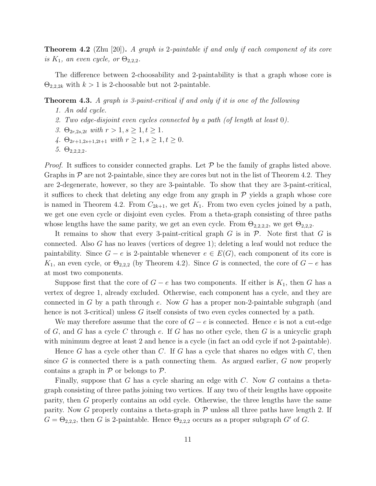**Theorem 4.2** (Zhu [20]). A graph is 2-paintable if and only if each component of its core is  $K_1$ , an even cycle, or  $\Theta_{2,2,2}$ .

The difference between 2-choosability and 2-paintability is that a graph whose core is  $\Theta_{2,2,2k}$  with  $k > 1$  is 2-choosable but not 2-paintable.

### Theorem 4.3. A graph is 3-paint-critical if and only if it is one of the following

- 1. An odd cycle.
- 2. Two edge-disjoint even cycles connected by a path (of length at least 0).
- 3.  $\Theta_{2r,2s,2t}$  with  $r > 1, s \geq 1, t \geq 1$ .
- 4.  $\Theta_{2r+1,2s+1,2t+1}$  with  $r \geq 1, s \geq 1, t \geq 0$ .
- 5.  $\Theta_{2,2,2,2}$ .

*Proof.* It suffices to consider connected graphs. Let  $P$  be the family of graphs listed above. Graphs in  $P$  are not 2-paintable, since they are cores but not in the list of Theorem 4.2. They are 2-degenerate, however, so they are 3-paintable. To show that they are 3-paint-critical, it suffices to check that deleting any edge from any graph in  $P$  yields a graph whose core is named in Theorem 4.2. From  $C_{2k+1}$ , we get  $K_1$ . From two even cycles joined by a path, we get one even cycle or disjoint even cycles. From a theta-graph consisting of three paths whose lengths have the same parity, we get an even cycle. From  $\Theta_{2,2,2,2}$ , we get  $\Theta_{2,2,2}$ .

It remains to show that every 3-paint-critical graph G is in  $\mathcal P$ . Note first that G is connected. Also G has no leaves (vertices of degree 1); deleting a leaf would not reduce the paintability. Since  $G - e$  is 2-paintable whenever  $e \in E(G)$ , each component of its core is K<sub>1</sub>, an even cycle, or  $\Theta_{2,2,2}$  (by Theorem 4.2). Since G is connected, the core of  $G - e$  has at most two components.

Suppose first that the core of  $G - e$  has two components. If either is  $K_1$ , then G has a vertex of degree 1, already excluded. Otherwise, each component has a cycle, and they are connected in G by a path through  $e$ . Now G has a proper non-2-paintable subgraph (and hence is not 3-critical) unless G itself consists of two even cycles connected by a path.

We may therefore assume that the core of  $G - e$  is connected. Hence e is not a cut-edge of G, and G has a cycle C through e. If G has no other cycle, then G is a unicyclic graph with minimum degree at least 2 and hence is a cycle (in fact an odd cycle if not 2-paintable).

Hence G has a cycle other than C. If G has a cycle that shares no edges with C, then since  $G$  is connected there is a path connecting them. As argued earlier,  $G$  now properly contains a graph in  $P$  or belongs to  $P$ .

Finally, suppose that G has a cycle sharing an edge with  $C$ . Now G contains a thetagraph consisting of three paths joining two vertices. If any two of their lengths have opposite parity, then G properly contains an odd cycle. Otherwise, the three lengths have the same parity. Now G properly contains a theta-graph in  $P$  unless all three paths have length 2. If  $G = \Theta_{2,2,2}$ , then G is 2-paintable. Hence  $\Theta_{2,2,2}$  occurs as a proper subgraph G' of G.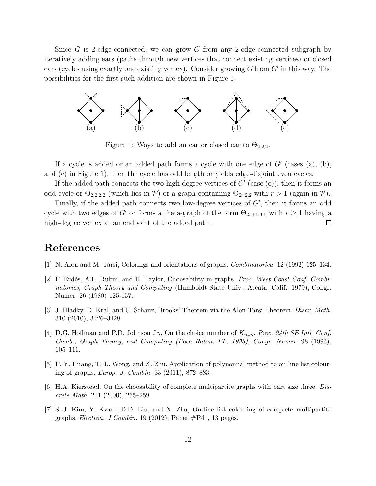Since G is 2-edge-connected, we can grow G from any 2-edge-connected subgraph by iteratively adding ears (paths through new vertices that connect existing vertices) or closed ears (cycles using exactly one existing vertex). Consider growing  $G$  from  $G'$  in this way. The possibilities for the first such addition are shown in Figure 1.



Figure 1: Ways to add an ear or closed ear to  $\Theta_{2,2,2}$ .

If a cycle is added or an added path forms a cycle with one edge of  $G'$  (cases (a), (b), and (c) in Figure 1), then the cycle has odd length or yields edge-disjoint even cycles.

If the added path connects the two high-degree vertices of  $G'$  (case (e)), then it forms an odd cycle or  $\Theta_{2,2,2,2}$  (which lies in P) or a graph containing  $\Theta_{2r,2,2}$  with  $r > 1$  (again in P).

Finally, if the added path connects two low-degree vertices of  $G'$ , then it forms an odd cycle with two edges of G' or forms a theta-graph of the form  $\Theta_{2r+1,3,1}$  with  $r \geq 1$  having a high-degree vertex at an endpoint of the added path.  $\Box$ 

# References

- [1] N. Alon and M. Tarsi, Colorings and orientations of graphs. Combinatorica. 12 (1992) 125–134.
- [2] P. Erdős, A.L. Rubin, and H. Taylor, Choosability in graphs. Proc. West Coast Conf. Combinatorics, Graph Theory and Computing (Humboldt State Univ., Arcata, Calif., 1979), Congr. Numer. 26 (1980) 125-157.
- [3] J. Hladky, D. Kral, and U. Schauz, Brooks' Theorem via the Alon-Tarsi Theorem. Discr. Math. 310 (2010), 3426–3428.
- [4] D.G. Hoffman and P.D. Johnson Jr., On the choice number of  $K_{m,n}$ . Proc. 24th SE Intl. Conf. Comb., Graph Theory, and Computing (Boca Raton, FL, 1993), Congr. Numer. 98 (1993), 105–111.
- [5] P.-Y. Huang, T.-L. Wong, and X. Zhu, Application of polynomial method to on-line list colouring of graphs. Europ. J. Combin. 33 (2011), 872–883.
- $[6]$  H.A. Kierstead, On the choosability of complete multipartite graphs with part size three. Discrete Math. 211 (2000), 255–259.
- [7] S.-J. Kim, Y. Kwon, D.D. Liu, and X. Zhu, On-line list colouring of complete multipartite graphs. Electron. J.Combin. 19 (2012), Paper #P41, 13 pages.